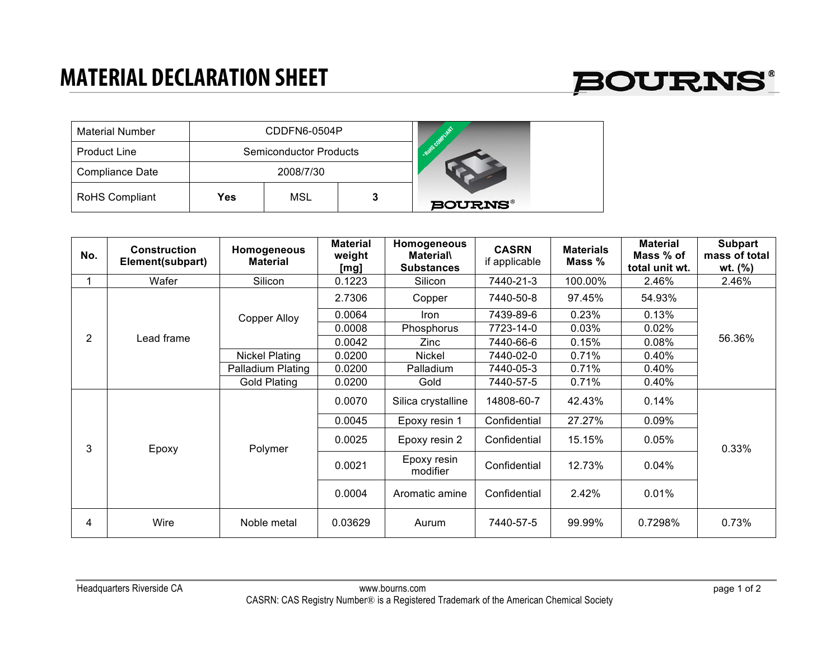## **MATERIAL DECLARATION SHEET**



| <b>Material Number</b> | CDDFN6-0504P |                               |  | Rays congular  |
|------------------------|--------------|-------------------------------|--|----------------|
| <b>Product Line</b>    |              | <b>Semiconductor Products</b> |  |                |
| <b>Compliance Date</b> |              | 2008/7/30                     |  |                |
| <b>RoHS Compliant</b>  | Yes          | MSL                           |  | <b>BOURNS®</b> |

| No.            | <b>Construction</b><br>Element(subpart) | Homogeneous<br><b>Material</b> | <b>Material</b><br>weight<br>[mg] | Homogeneous<br><b>Material</b><br><b>Substances</b> | <b>CASRN</b><br>if applicable | <b>Materials</b><br>Mass % | <b>Material</b><br>Mass % of<br>total unit wt. | <b>Subpart</b><br>mass of total<br>wt. $(\% )$ |
|----------------|-----------------------------------------|--------------------------------|-----------------------------------|-----------------------------------------------------|-------------------------------|----------------------------|------------------------------------------------|------------------------------------------------|
| 1              | Wafer                                   | Silicon                        | 0.1223                            | Silicon                                             | 7440-21-3                     | 100.00%                    | 2.46%                                          | 2.46%                                          |
| $\overline{2}$ | Lead frame                              | Copper Alloy                   | 2.7306                            | Copper                                              | 7440-50-8                     | 97.45%                     | 54.93%                                         | 56.36%                                         |
|                |                                         |                                | 0.0064                            | Iron                                                | 7439-89-6                     | 0.23%                      | 0.13%                                          |                                                |
|                |                                         |                                | 0.0008                            | Phosphorus                                          | 7723-14-0                     | 0.03%                      | 0.02%                                          |                                                |
|                |                                         |                                | 0.0042                            | Zinc                                                | 7440-66-6                     | 0.15%                      | 0.08%                                          |                                                |
|                |                                         | <b>Nickel Plating</b>          | 0.0200                            | Nickel                                              | 7440-02-0                     | 0.71%                      | 0.40%                                          |                                                |
|                |                                         | Palladium Plating              | 0.0200                            | Palladium                                           | 7440-05-3                     | 0.71%                      | $0.40\%$                                       |                                                |
|                |                                         | <b>Gold Plating</b>            | 0.0200                            | Gold                                                | 7440-57-5                     | 0.71%                      | 0.40%                                          |                                                |
| 3              | Epoxy                                   | Polymer                        | 0.0070                            | Silica crystalline                                  | 14808-60-7                    | 42.43%                     | 0.14%                                          | 0.33%                                          |
|                |                                         |                                | 0.0045                            | Epoxy resin 1                                       | Confidential                  | 27.27%                     | 0.09%                                          |                                                |
|                |                                         |                                | 0.0025                            | Epoxy resin 2                                       | Confidential                  | 15.15%                     | 0.05%                                          |                                                |
|                |                                         |                                | 0.0021                            | Epoxy resin<br>modifier                             | Confidential                  | 12.73%                     | 0.04%                                          |                                                |
|                |                                         |                                | 0.0004                            | Aromatic amine                                      | Confidential                  | 2.42%                      | 0.01%                                          |                                                |
| 4              | Wire                                    | Noble metal                    | 0.03629                           | Aurum                                               | 7440-57-5                     | 99.99%                     | 0.7298%                                        | 0.73%                                          |